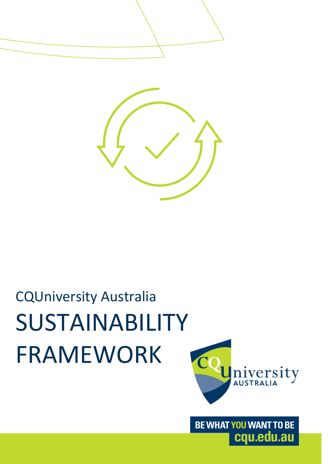



# CQUniversity Australia SUSTAINABILITY FRAMEWORK



BE WHAT YOU WANT TO BE cqu.edu.au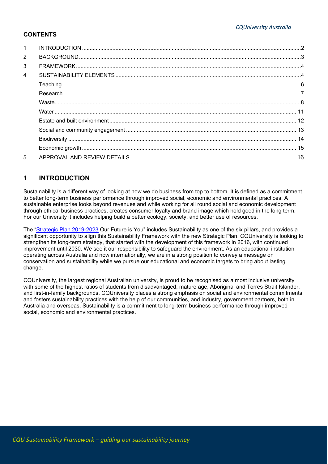# **CONTENTS**

| $\mathbf{1}$   |  |
|----------------|--|
| 2              |  |
| 3              |  |
| $\overline{4}$ |  |
|                |  |
|                |  |
|                |  |
|                |  |
|                |  |
|                |  |
|                |  |
|                |  |
| 5              |  |

# <span id="page-1-0"></span>**1 INTRODUCTION**

Sustainability is a different way of looking at how we do business from top to bottom. It is defined as a commitment to better long-term business performance through improved social, economic and environmental practices. A sustainable enterprise looks beyond revenues and while working for all round social and economic development through ethical business practices, creates consumer loyalty and brand image which hold good in the long term. For our University it includes helping build a better ecology, society, and better use of resources.

The ["Strategic Plan 2019-2023](https://www.cqu.edu.au/policy) Our Future is You" includes Sustainability as one of the six pillars, and provides a significant opportunity to align this Sustainability Framework with the new Strategic Plan. CQUniversity is looking to strengthen its long-term strategy, that started with the development of this framework in 2016, with continued improvement until 2030. We see it our responsibility to safeguard the environment. As an educational institution operating across Australia and now internationally, we are in a strong position to convey a message on conservation and sustainability while we pursue our educational and economic targets to bring about lasting change.

CQUniversity, the largest regional Australian university, is proud to be recognised as a most inclusive university with some of the highest ratios of students from disadvantaged, mature age, Aboriginal and Torres Strait Islander, and first-in-family backgrounds. CQUniversity places a strong emphasis on social and environmental commitments and fosters sustainability practices with the help of our communities, and industry, government partners, both in Australia and overseas. Sustainability is a commitment to long-term business performance through improved social, economic and environmental practices.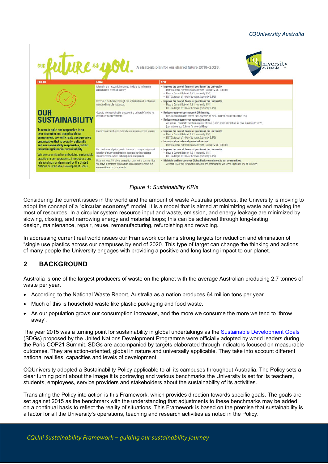

*Figure 1: Sustainability KPIs*

Considering the current issues in the world and the amount of waste Australia produces, the University is moving to adopt the concept of a "**circular economy"** model. It is a model that is aimed at minimizing waste and making the most of resources. In a circular system resource input and waste, emission, and energy leakage are minimized by slowing, closing, and narrowing energy and material loops; this can be achieved through long-lasting design, maintenance, repair, reuse, remanufacturing, refurbishing and recycling.

In addressing current real world issues our Framework contains strong targets for reduction and elimination of "single use plastics across our campuses by end of 2020. This type of target can change the thinking and actions of many people the University engages with providing a positive and long lasting impact to our planet.

# <span id="page-2-0"></span>**2 BACKGROUND**

Australia is one of the largest producers of waste on the planet with the average Australian producing 2.7 tonnes of waste per year.

- According to the National Waste Report, Australia as a nation produces 64 million tons per year.
- Much of this is household waste like plastic packaging and food waste.
- As our population grows our consumption increases, and the more we consume the more we tend to 'throw away'.

The year 2015 was a turning point for sustainability in global undertakings as the [Sustainable Development Goals](https://www.un.org/sustainabledevelopment/sustainable-development-goals/) (SDGs) proposed by the United Nations Development Programme were officially adopted by world leaders during the Paris COP21 Summit. SDGs are accompanied by targets elaborated through indicators focused on measurable outcomes. They are action-oriented, global in nature and universally applicable. They take into account different national realities, capacities and levels of development.

CQUniversity adopted a Sustainability Policy applicable to all its campuses throughout Australia. The Policy sets a clear turning point about the image it is portraying and various benchmarks the University is set for its teachers, students, employees, service providers and stakeholders about the sustainability of its activities.

Translating the Policy into action is this Framework, which provides direction towards specific goals. The goals are set against 2015 as the benchmark with the understanding that adjustments to these benchmarks may be added on a continual basis to reflect the reality of situations. This Framework is based on the premise that sustainability is a factor for all the University's operations, teaching and research activities as noted in the Policy.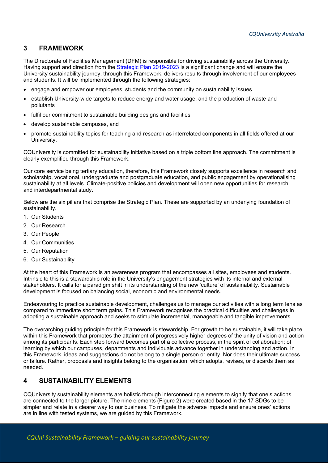# <span id="page-3-0"></span>**3 FRAMEWORK**

The Directorate of Facilities Management (DFM) is responsible for driving sustainability across the University. Having support and direction from the [Strategic Plan 2019-2023](https://www.cqu.edu.au/policy) is a significant change and will ensure the University sustainability journey, through this Framework, delivers results through involvement of our employees and students. It will be implemented through the following strategies:

- engage and empower our employees, students and the community on sustainability issues
- establish University-wide targets to reduce energy and water usage, and the production of waste and pollutants
- fulfil our commitment to sustainable building designs and facilities
- develop sustainable campuses, and
- promote sustainability topics for teaching and research as interrelated components in all fields offered at our University.

CQUniversity is committed for sustainability initiative based on a triple bottom line approach. The commitment is clearly exemplified through this Framework.

Our core service being tertiary education, therefore, this Framework closely supports excellence in research and scholarship, vocational, undergraduate and postgraduate education, and public engagement by operationalising sustainability at all levels. Climate-positive policies and development will open new opportunities for research and interdepartmental study.

Below are the six pillars that comprise the Strategic Plan. These are supported by an underlying foundation of sustainability.

- 1. Our Students
- 2. Our Research
- 3. Our People
- 4. Our Communities
- 5. Our Reputation
- 6. Our Sustainability

At the heart of this Framework is an awareness program that encompasses all sites, employees and students. Intrinsic to this is a stewardship role in the University's engagement strategies with its internal and external stakeholders. It calls for a paradigm shift in its understanding of the new 'culture' of sustainability. Sustainable development is focused on balancing social, economic and environmental needs.

Endeavouring to practice sustainable development, challenges us to manage our activities with a long term lens as compared to immediate short term gains. This Framework recognises the practical difficulties and challenges in adopting a sustainable approach and seeks to stimulate incremental, manageable and tangible improvements.

The overarching guiding principle for this Framework is stewardship. For growth to be sustainable, it will take place within this Framework that promotes the attainment of progressively higher degrees of the unity of vision and action among its participants. Each step forward becomes part of a collective process, in the spirit of collaboration; of learning by which our campuses, departments and individuals advance together in understanding and action. In this Framework, ideas and suggestions do not belong to a single person or entity. Nor does their ultimate success or failure. Rather, proposals and insights belong to the organisation, which adopts, revises, or discards them as needed.

# <span id="page-3-1"></span>**4 SUSTAINABILITY ELEMENTS**

CQUniversity sustainability elements are holistic through interconnecting elements to signify that one's actions are connected to the larger picture. The nine elements (Figure 2) were created based in the 17 SDGs to be simpler and relate in a clearer way to our business. To mitigate the adverse impacts and ensure ones' actions are in line with tested systems, we are guided by this Framework.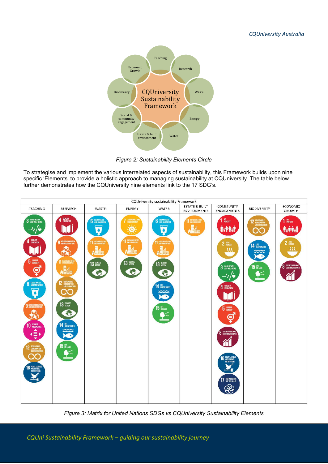

*Figure 2: Sustainability Elements Circle*

To strategise and implement the various interrelated aspects of sustainability, this Framework builds upon nine specific 'Elements' to provide a holistic approach to managing sustainability at CQUniversity. The table below further demonstrates how the CQUniversity nine elements link to the 17 SDG's.



*Figure 3: Matrix for United Nations SDGs vs CQUniversity Sustainability Elements*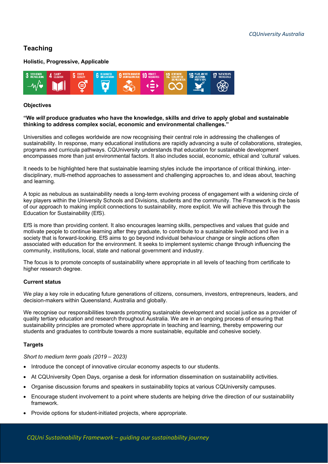# <span id="page-5-0"></span>**Teaching**

### **Holistic, Progressive, Applicable**



#### **Objectives**

#### **"We** *will* **produce graduates who have the knowledge, skills and drive to apply global and sustainable thinking to address complex social, economic and environmental challenges."**

Universities and colleges worldwide are now recognising their central role in addressing the challenges of sustainability. In response, many educational institutions are rapidly advancing a suite of collaborations, strategies, programs and curricula pathways. CQUniversity understands that education for sustainable development encompasses more than just environmental factors. It also includes social, economic, ethical and 'cultural' values.

It needs to be highlighted here that sustainable learning styles include the importance of critical thinking, interdisciplinary, multi-method approaches to assessment and challenging approaches to, and ideas about, teaching and learning.

A topic as nebulous as sustainability needs a long-term evolving process of engagement with a widening circle of key players within the University Schools and Divisions, students and the community. The Framework is the basis of our approach to making implicit connections to sustainability, more explicit. We will achieve this through the Education for Sustainability (EfS).

EfS is more than providing content. It also encourages learning skills, perspectives and values that guide and motivate people to continue learning after they graduate, to contribute to a sustainable livelihood and live in a society that is forward-looking. EfS aims to go beyond individual behaviour change or single actions often associated with education for the environment. It seeks to implement systemic change through influencing the community, institutions, local, state and national government and industry.

The focus is to promote concepts of sustainability where appropriate in all levels of teaching from certificate to higher research degree.

#### **Current status**

We play a key role in educating future generations of citizens, consumers, investors, entrepreneurs, leaders, and decision-makers within Queensland, Australia and globally.

We recognise our responsibilities towards promoting sustainable development and social justice as a provider of quality tertiary education and research throughout Australia. We are in an ongoing process of ensuring that sustainability principles are promoted where appropriate in teaching and learning, thereby empowering our students and graduates to contribute towards a more sustainable, equitable and cohesive society.

#### **Targets**

*Short to medium term goals (2019 – 2023)*

- Introduce the concept of innovative circular economy aspects to our students.
- At CQUniversity Open Days, organise a desk for information dissemination on sustainability activities.
- Organise discussion forums and speakers in sustainability topics at various CQUniversity campuses.
- Encourage student involvement to a point where students are helping drive the direction of our sustainability framework.
- Provide options for student-initiated projects, where appropriate.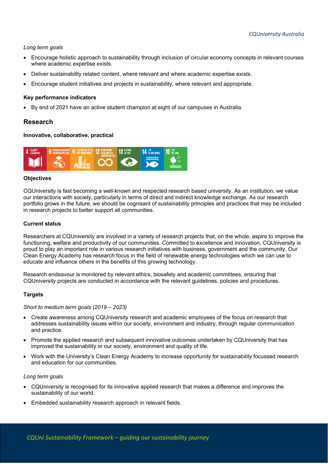#### *Long term goals*

- Encourage holistic approach to sustainability through inclusion of circular economy concepts in relevant courses where academic expertise exists.
- Deliver sustainability related content, where relevant and where academic expertise exists.
- Encourage student initiatives and projects in sustainability, where relevant and appropriate.

#### **Key performance indicators**

• By end of 2021 have an active student champion at eight of our campuses in Australia.

## <span id="page-6-0"></span>**Research**

#### **Innovative, collaborative, practical**



## **Objectives**

CQUniversity is fast becoming a well-known and respected research based university. As an institution, we value our interactions with society, particularly in terms of direct and indirect knowledge exchange. As our research portfolio grows in the future, we should be cognisant of sustainability principles and practices that may be included in research projects to better support all communities.

#### **Current status**

Researchers at CQUniversity are involved in a variety of research projects that, on the whole, aspire to improve the functioning, welfare and productivity of our communities. Committed to excellence and innovation, CQUniversity is proud to play an important role in various research initiatives with business, government and the community. Our Clean Energy Academy has research focus in the field of renewable energy technologies which we can use to educate and influence others in the benefits of this growing technology.

Research endeavour is monitored by relevant [ethics, biosafety and academic committees,](https://www.cqu.edu.au/research/current-research/ethics-committees) ensuring that CQUniversity projects are conducted in accordance with the relevant guidelines, policies and procedures.

#### **Targets**

#### *Short to medium term goals (2019 – 2023)*

- Create awareness among CQUniversity research and academic employees of the focus on research that addresses sustainability issues within our society, environment and industry, through regular communication and practice.
- Promote the applied research and subsequent innovative outcomes undertaken by CQUniversity that has improved the sustainability or our society, environment and quality of life.
- Work with the University's Clean Energy Academy to increase opportunity for sustainability focussed research and education for our communities.

#### *Long term goals*

- CQUniversity is recognised for its innovative applied research that makes a difference and improves the sustainability of our world.
- Embedded sustainability research approach in relevant fields.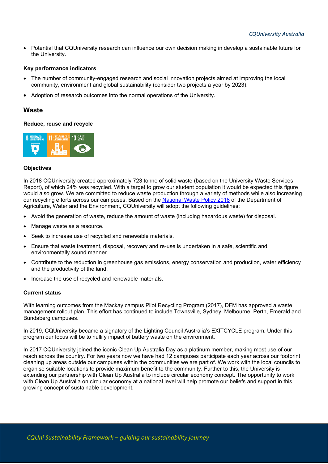• Potential that CQUniversity research can influence our own decision making in develop a sustainable future for the University.

#### **Key performance indicators**

- The number of community-engaged research and social innovation projects aimed at improving the local community, environment and global sustainability (consider two projects a year by 2023).
- Adoption of research outcomes into the normal operations of the University.

## <span id="page-7-0"></span>**Waste**

#### **Reduce, reuse and recycle**



#### **Objectives**

In 2018 CQUniversity created approximately 723 tonne of solid waste (based on the University Waste Services Report), of which 24% was recycled. With a target to grow our student population it would be expected this figure would also grow. We are committed to reduce waste production through a variety of methods while also increasing our recycling efforts across our campuses. Based on the [National Waste Policy 2018](https://www.environment.gov.au/protection/waste-resource-recovery/publications/national-waste-policy-2018) of the Department of Agriculture, Water and the Environment, CQUniversity will adopt the following guidelines:

- Avoid the generation of waste, reduce the amount of waste (including hazardous waste) for disposal.
- Manage waste as a resource.
- Seek to increase use of recycled and renewable materials.
- Ensure that waste treatment, disposal, recovery and re-use is undertaken in a safe, scientific and environmentally sound manner.
- Contribute to the reduction in greenhouse gas emissions, energy conservation and production, water efficiency and the productivity of the land.
- Increase the use of recycled and renewable materials.

#### **Current status**

With learning outcomes from the Mackay campus Pilot Recycling Program (2017), DFM has approved a waste management rollout plan. This effort has continued to include Townsville, Sydney, Melbourne, Perth, Emerald and Bundaberg campuses.

In 2019, CQUniversity became a signatory of the Lighting Council Australia's EXITCYCLE program. Under this program our focus will be to nullify impact of battery waste on the environment.

In 2017 CQUniversity joined the iconic Clean Up Australia Day as a platinum member, making most use of our reach across the country. For two years now we have had 12 campuses participate each year across our footprint cleaning up areas outside our campuses within the communities we are part of. We work with the local councils to organise suitable locations to provide maximum benefit to the community. Further to this, the University is extending our partnership with Clean Up Australia to include circular economy concept. The opportunity to work with Clean Up Australia on circular economy at a national level will help promote our beliefs and support in this growing concept of sustainable development.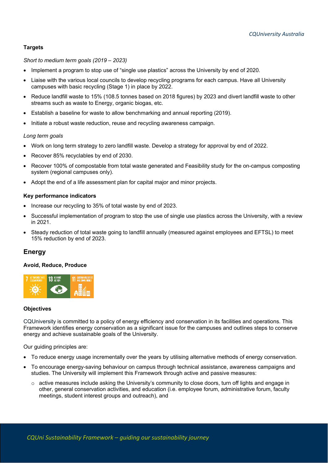## **Targets**

#### *Short to medium term goals (2019 – 2023)*

- Implement a program to stop use of "single use plastics" across the University by end of 2020.
- Liaise with the various local councils to develop recycling programs for each campus. Have all University campuses with basic recycling (Stage 1) in place by 2022.
- Reduce landfill waste to 15% (108.5 tonnes based on 2018 figures) by 2023 and divert landfill waste to other streams such as waste to Energy, organic biogas, etc.
- Establish a baseline for waste to allow benchmarking and annual reporting (2019).
- Initiate a robust waste reduction, reuse and recycling awareness campaign.

#### *Long term goals*

- Work on long term strategy to zero landfill waste. Develop a strategy for approval by end of 2022.
- Recover 85% recyclables by end of 2030.
- Recover 100% of compostable from total waste generated and Feasibility study for the on-campus composting system (regional campuses only).
- Adopt the end of a life assessment plan for capital major and minor projects.

#### **Key performance indicators**

- Increase our recycling to 35% of total waste by end of 2023.
- Successful implementation of program to stop the use of single use plastics across the University, with a review in 2021.
- Steady reduction of total waste going to landfill annually (measured against employees and EFTSL) to meet 15% reduction by end of 2023.

## **Energy**

#### **Avoid, Reduce, Produce**



#### **Objectives**

CQUniversity is committed to a policy of energy efficiency and conservation in its facilities and operations. This Framework identifies energy conservation as a significant issue for the campuses and outlines steps to conserve energy and achieve sustainable goals of the University.

Our guiding principles are:

- To reduce energy usage incrementally over the years by utilising alternative methods of energy conservation.
- To encourage energy-saving behaviour on campus through technical assistance, awareness campaigns and studies. The University will implement this Framework through active and passive measures:
	- $\circ$  active measures include asking the University's community to close doors, turn off lights and engage in other, general conservation activities, and education (i.e. employee forum, administrative forum, faculty meetings, student interest groups and outreach), and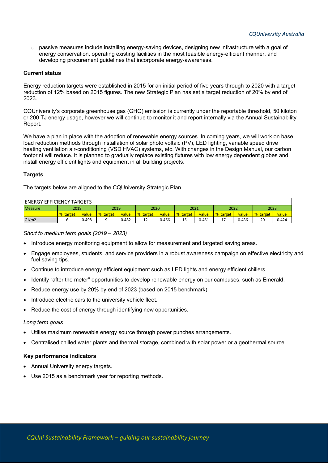$\circ$  passive measures include installing energy-saving devices, designing new infrastructure with a goal of energy conservation, operating existing facilities in the most feasible energy-efficient manner, and developing procurement guidelines that incorporate energy-awareness.

#### **Current status**

Energy reduction targets were established in 2015 for an initial period of five years through to 2020 with a target reduction of 12% based on 2015 figures. The new Strategic Plan has set a target reduction of 20% by end of 2023.

CQUniversity's corporate greenhouse gas (GHG) emission is currently under the reportable threshold, 50 kiloton or 200 TJ energy usage, however we will continue to monitor it and report internally via the Annual Sustainability Report.

We have a plan in place with the adoption of renewable energy sources. In coming years, we will work on base load reduction methods through installation of solar photo voltaic (PV), LED lighting, variable speed drive heating ventilation air-conditioning (VSD HVAC) systems, etc. With changes in the Design Manual, our carbon footprint will reduce. It is planned to gradually replace existing fixtures with low energy dependent globes and install energy efficient lights and equipment in all building projects.

#### **Targets**

The targets below are aligned to the CQUniversity Strategic Plan.

| <b>IENERGY EFFICIENCY TARGETS</b> |          |       |                  |       |                 |       |          |       |               |       |                 |       |
|-----------------------------------|----------|-------|------------------|-------|-----------------|-------|----------|-------|---------------|-------|-----------------|-------|
| <b>Measure</b>                    | 2018     |       | 2019             |       | 2020            |       | 2021     |       | 2022          |       | 2023            |       |
|                                   | % target | value | <b>1% target</b> | value | <b>% target</b> | value | % target | value | % target      | value | <b>% target</b> | value |
| GJ/m2                             |          | 0.498 |                  | 0.482 | າາ<br>ᅭ         | 0.466 | --       | 0.451 | <u>. на с</u> | 0.436 | 20              | 0.424 |

*Short to medium term goals (2019 – 2023)*

- Introduce energy monitoring equipment to allow for measurement and targeted saving areas.
- Engage employees, students, and service providers in a robust awareness campaign on effective electricity and fuel saving tips.
- Continue to introduce energy efficient equipment such as LED lights and energy efficient chillers.
- Identify "after the meter" opportunities to develop renewable energy on our campuses, such as Emerald.
- Reduce energy use by 20% by end of 2023 (based on 2015 benchmark).
- Introduce electric cars to the university vehicle fleet.
- Reduce the cost of energy through identifying new opportunities.

#### *Long term goals*

- Utilise maximum renewable energy source through power punches arrangements.
- Centralised chilled water plants and thermal storage, combined with solar power or a geothermal source.

- Annual University energy targets.
- Use 2015 as a benchmark year for reporting methods.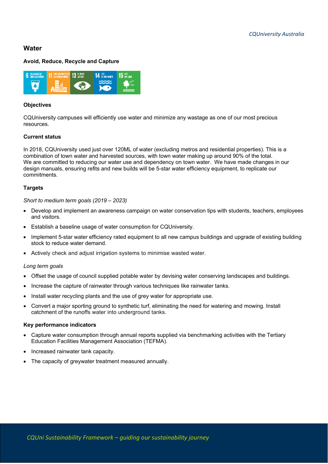# <span id="page-10-0"></span>**Water**

### **Avoid, Reduce, Recycle and Capture**



#### **Objectives**

CQUniversity campuses will efficiently use water and minimize any wastage as one of our most precious resources.

### **Current status**

In 2018, CQUniversity used just over 120ML of water (excluding metros and residential properties). This is a combination of town water and harvested sources, with town water making up around 90% of the total. We are committed to reducing our water use and dependency on town water. We have made changes in our design manuals, ensuring refits and new builds will be 5-star water efficiency equipment, to replicate our commitments.

#### **Targets**

*Short to medium term goals (2019 – 2023)*

- Develop and implement an awareness campaign on water conservation tips with students, teachers, employees and visitors.
- Establish a baseline usage of water consumption for CQUniversity.
- Implement 5-star water efficiency rated equipment to all new campus buildings and upgrade of existing building stock to reduce water demand.
- Actively check and adjust irrigation systems to minimise wasted water.

#### *Long term goals*

- Offset the usage of council supplied potable water by devising water conserving landscapes and buildings.
- Increase the capture of rainwater through various techniques like rainwater tanks.
- Install water recycling plants and the use of grey water for appropriate use.
- Convert a major sporting ground to synthetic turf, eliminating the need for watering and mowing. Install catchment of the runoffs water into underground tanks.

- Capture water consumption through annual reports supplied via benchmarking activities with the Tertiary Education Facilities Management Association (TEFMA).
- Increased rainwater tank capacity.
- The capacity of greywater treatment measured annually.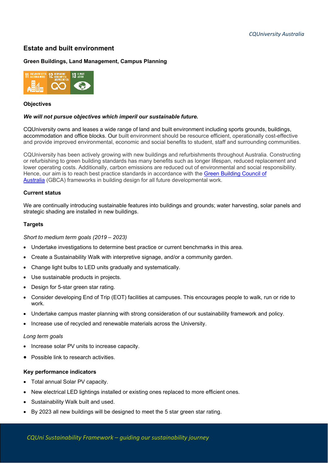# <span id="page-11-0"></span>**Estate and built environment**

## **Green Buildings, Land Management, Campus Planning**



#### **Objectives**

#### *We will not pursue objectives which imperil our sustainable future.*

CQUniversity owns and leases a wide range of land and built environment including sports grounds, buildings, accommodation and office blocks. Our built environment should be resource efficient, operationally cost-effective and provide improved environmental, economic and social benefits to student, staff and surrounding communities.

CQUniversity has been actively growing with new buildings and refurbishments throughout Australia. Constructing or refurbishing to green building standards has many benefits such as longer lifespan, reduced replacement and lower operating costs. Additionally, carbon emissions are reduced out of environmental and social responsibility. Hence, our aim is to reach best practice standards in accordance with the [Green Building Council of](https://new.gbca.org.au/)  [Australia](https://new.gbca.org.au/) (GBCA) frameworks in building design for all future developmental work.

#### **Current status**

We are continually introducing sustainable features into buildings and grounds; water harvesting, solar panels and strategic shading are installed in new buildings.

#### **Targets**

#### *Short to medium term goals (2019 – 2023)*

- Undertake investigations to determine best practice or current benchmarks in this area.
- Create a Sustainability Walk with interpretive signage, and/or a community garden.
- Change light bulbs to LED units gradually and systematically.
- Use sustainable products in projects.
- Design for 5-star green star rating.
- Consider developing End of Trip (EOT) facilities at campuses. This encourages people to walk, run or ride to work.
- Undertake campus master planning with strong consideration of our sustainability framework and policy.
- Increase use of recycled and renewable materials across the University.

#### *Long term goals*

- Increase solar PV units to increase capacity.
- Possible link to research activities.

- Total annual Solar PV capacity.
- New electrical LED lightings installed or existing ones replaced to more efficient ones.
- Sustainability Walk built and used.
- By 2023 all new buildings will be designed to meet the 5 star green star rating.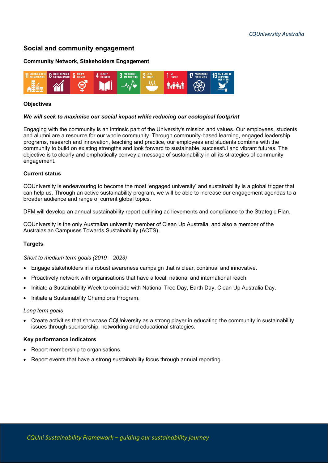# <span id="page-12-0"></span>**Social and community engagement**

#### **Community Network, Stakeholders Engagement**



#### **Objectives**

#### *We will seek to maximise our social impact while reducing our ecological footprint*

Engaging with the community is an intrinsic part of the University's mission and values. Our employees, students and alumni are a resource for our whole community. Through community-based learning, engaged leadership programs, research and innovation, teaching and practice, our employees and students combine with the community to build on existing strengths and look forward to sustainable, successful and vibrant futures. The objective is to clearly and emphatically convey a message of sustainability in all its strategies of community engagement.

## **Current status**

CQUniversity is endeavouring to become the most 'engaged university' and sustainability is a global trigger that can help us. Through an active sustainability program, we will be able to increase our engagement agendas to a broader audience and range of current global topics.

DFM will develop an annual sustainability report outlining achievements and compliance to the Strategic Plan.

CQUniversity is the only Australian university member of Clean Up Australia, and also a member of the Australasian Campuses Towards Sustainability (ACTS).

## **Targets**

*Short to medium term goals (2019 – 2023)*

- Engage stakeholders in a robust awareness campaign that is clear, continual and innovative.
- Proactively network with organisations that have a local, national and international reach.
- Initiate a Sustainability Week to coincide with National Tree Day, Earth Day, Clean Up Australia Day.
- Initiate a Sustainability Champions Program.

#### *Long term goals*

• Create activities that showcase CQUniversity as a strong player in educating the community in sustainability issues through sponsorship, networking and educational strategies.

- Report membership to organisations.
- Report events that have a strong sustainability focus through annual reporting.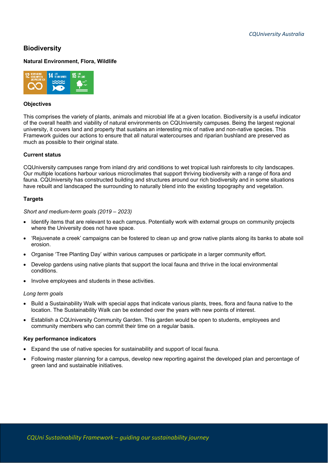# <span id="page-13-0"></span>**Biodiversity**

## **Natural Environment, Flora, Wildlife**



#### **Objectives**

This comprises the variety of plants, animals and microbial life at a given location. Biodiversity is a useful indicator of the overall health and viability of natural environments on CQUniversity campuses. Being the largest regional university, it covers land and property that sustains an interesting mix of native and non-native species. This Framework guides our actions to ensure that all natural watercourses and riparian bushland are preserved as much as possible to their original state.

#### **Current status**

CQUniversity campuses range from inland dry arid conditions to wet tropical lush rainforests to city landscapes. Our multiple locations harbour various microclimates that support thriving biodiversity with a range of flora and fauna. CQUniversity has constructed building and structures around our rich biodiversity and in some situations have rebuilt and landscaped the surrounding to naturally blend into the existing topography and vegetation.

#### **Targets**

#### *Short and medium-term goals (2019 – 2023)*

- Identify items that are relevant to each campus. Potentially work with external groups on community projects where the University does not have space.
- 'Rejuvenate a creek' campaigns can be fostered to clean up and grow native plants along its banks to abate soil erosion.
- Organise 'Tree Planting Day' within various campuses or participate in a larger community effort.
- Develop gardens using native plants that support the local fauna and thrive in the local environmental conditions.
- Involve employees and students in these activities.

#### *Long term goals*

- Build a Sustainability Walk with special apps that indicate various plants, trees, flora and fauna native to the location. The Sustainability Walk can be extended over the years with new points of interest.
- Establish a CQUniversity Community Garden. This garden would be open to students, employees and community members who can commit their time on a regular basis.

- Expand the use of native species for sustainability and support of local fauna.
- Following master planning for a campus, develop new reporting against the developed plan and percentage of green land and sustainable initiatives.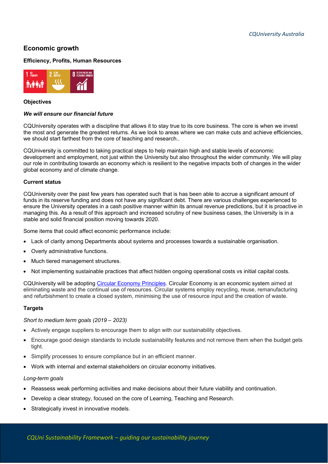# <span id="page-14-0"></span>**Economic growth**

#### **Efficiency, Profits, Human Resources**



#### **Objectives**

#### *We will ensure our financial future*

CQUniversity operates with a discipline that allows it to stay true to its core business. The core is when we invest the most and generate the greatest returns. As we look to areas where we can make cuts and achieve efficiencies, we should start farthest from the core of teaching and research..

CQUniversity is committed to taking practical steps to help maintain high and stable levels of economic development and employment, not just within the University but also throughout the wider community. We will play our role in contributing towards an economy which is resilient to the negative impacts both of changes in the wider global economy and of climate change.

#### **Current status**

CQUniversity over the past few years has operated such that is has been able to accrue a significant amount of funds in its reserve funding and does not have any significant debt. There are various challenges experienced to ensure the University operates in a cash positive manner within its annual revenue predictions, but it is proactive in managing this. As a result of this approach and increased scrutiny of new business cases, the University is in a stable and solid financial position moving towards 2020.

Some items that could affect economic performance include:

- Lack of clarity among Departments about systems and processes towards a sustainable organisation.
- Overly administrative functions.
- Much tiered management structures.
- Not implementing sustainable practices that affect hidden ongoing operational costs vs initial capital costs.

CQUniversity will be adopting [Circular Economy Principles.](https://www.cleanup.org.au/circular-economy) Circular Economy is an economic system aimed at eliminating waste and the continual use of resources. Circular systems employ [recycling,](https://en.wikipedia.org/wiki/Recycling) [reuse,](https://en.wikipedia.org/wiki/Reuse) [remanufacturing](https://en.wikipedia.org/wiki/Remanufacturing) and refurbishment to create a closed system, minimising the use of [resource input](https://en.wikipedia.org/wiki/Resource_depletion) and the creation of [waste.](https://en.wikipedia.org/wiki/Waste_minimisation)

#### **Targets**

*Short to medium term goals (2019 – 2023)*

- Actively engage suppliers to encourage them to align with our sustainability objectives.
- Encourage good design standards to include sustainability features and not remove them when the budget gets tight.
- Simplify processes to ensure compliance but in an efficient manner.
- Work with internal and external stakeholders on circular economy initiatives.

#### *Long-term goals*

- Reassess weak performing activities and make decisions about their future viability and continuation.
- Develop a clear strategy, focused on the core of Learning, Teaching and Research.
- Strategically invest in innovative models.